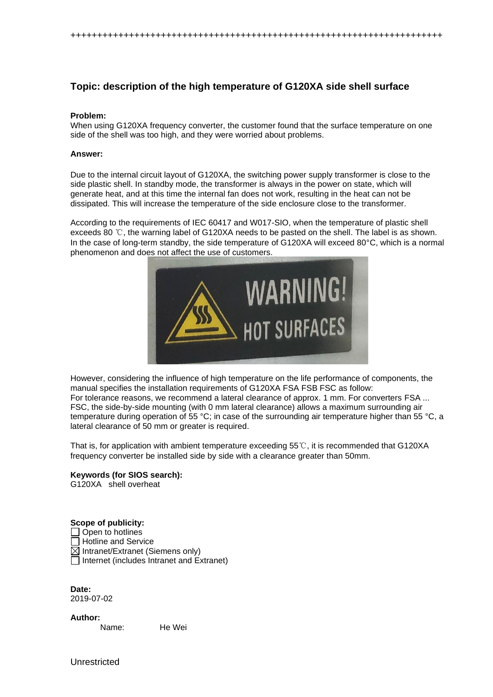++++++++++++++++++++++++++++++++++++++++++++++++++++++++++++++++++++++

## **Topic: description of the high temperature of G120XA side shell surface**

#### **Problem:**

When using G120XA frequency converter, the customer found that the surface temperature on one side of the shell was too high, and they were worried about problems.

#### **Answer:**

Due to the internal circuit layout of G120XA, the switching power supply transformer is close to the side plastic shell. In standby mode, the transformer is always in the power on state, which will generate heat, and at this time the internal fan does not work, resulting in the heat can not be dissipated. This will increase the temperature of the side enclosure close to the transformer.

According to the requirements of IEC 60417 and W017-SIO, when the temperature of plastic shell exceeds 80 ℃, the warning label of G120XA needs to be pasted on the shell. The label is as shown. In the case of long-term standby, the side temperature of G120XA will exceed 80°C, which is a normal phenomenon and does not affect the use of customers.



However, considering the influence of high temperature on the life performance of components, the manual specifies the installation requirements of G120XA FSA FSB FSC as follow: For tolerance reasons, we recommend a lateral clearance of approx. 1 mm. For converters FSA ... FSC, the side-by-side mounting (with 0 mm lateral clearance) allows a maximum surrounding air temperature during operation of 55 °C; in case of the surrounding air temperature higher than 55 °C, a lateral clearance of 50 mm or greater is required.

That is, for application with ambient temperature exceeding 55℃, it is recommended that G120XA frequency converter be installed side by side with a clearance greater than 50mm.

# **Keywords (for SIOS search):**

G120XA shell overheat

### **Scope of publicity:**

 $\Box$  Open to hotlines  $\Box$  Hotline and Service  $\boxtimes$  Intranet/Extranet (Siemens only)  $\Box$  Internet (includes Intranet and Extranet)

**Date:** 2019-07-02

**Author:**

Name: He Wei

Unrestricted